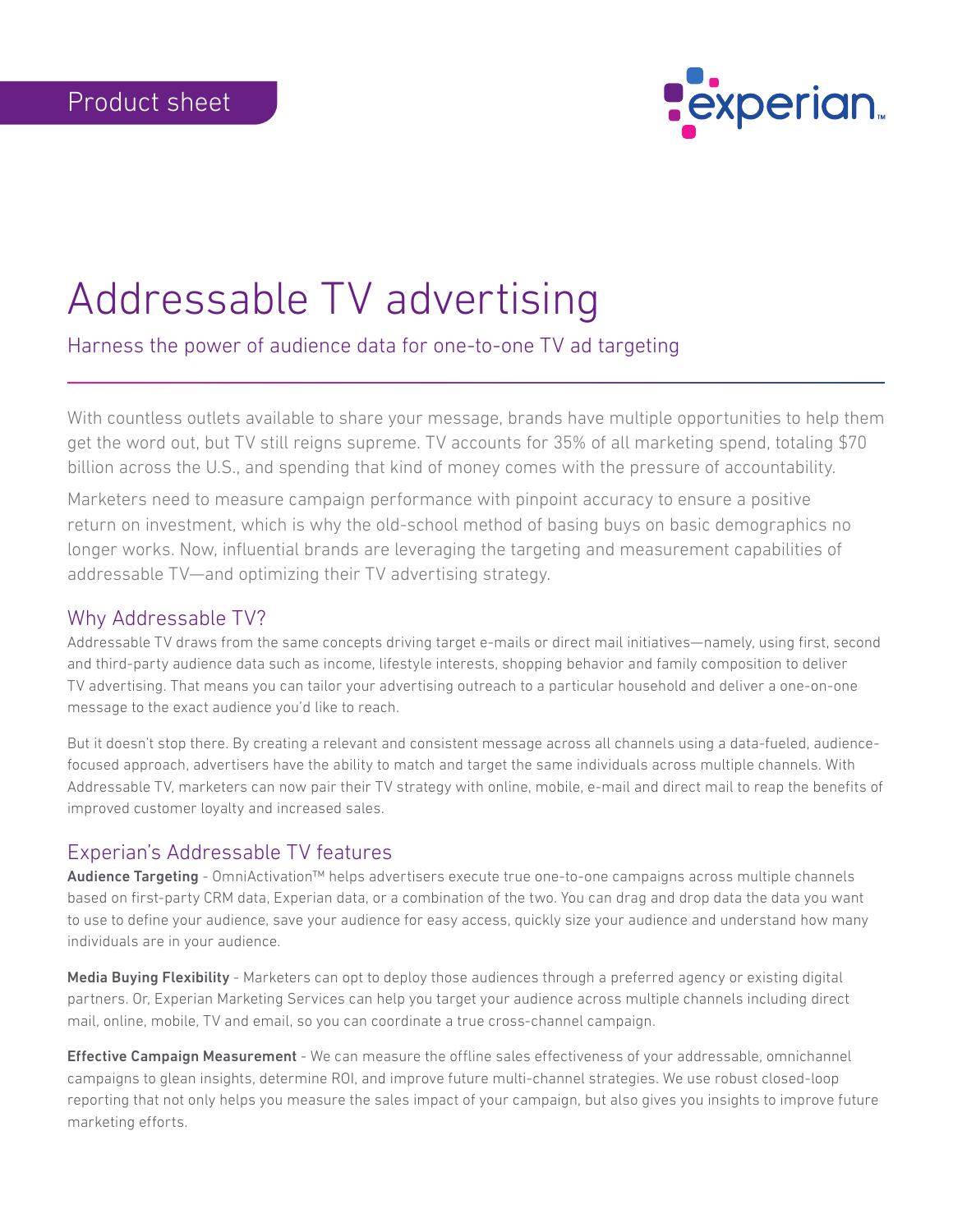

# Addressable TV advertising

# Harness the power of audience data for one-to-one TV ad targeting

With countless outlets available to share your message, brands have multiple opportunities to help them get the word out, but TV still reigns supreme. TV accounts for 35% of all marketing spend, totaling \$70 billion across the U.S., and spending that kind of money comes with the pressure of accountability.

Marketers need to measure campaign performance with pinpoint accuracy to ensure a positive return on investment, which is why the old-school method of basing buys on basic demographics no longer works. Now, influential brands are leveraging the targeting and measurement capabilities of addressable TV—and optimizing their TV advertising strategy.

## Why Addressable TV?

Addressable TV draws from the same concepts driving target e-mails or direct mail initiatives—namely, using first, second and third-party audience data such as income, lifestyle interests, shopping behavior and family composition to deliver TV advertising. That means you can tailor your advertising outreach to a particular household and deliver a one-on-one message to the exact audience you'd like to reach.

But it doesn't stop there. By creating a relevant and consistent message across all channels using a data-fueled, audiencefocused approach, advertisers have the ability to match and target the same individuals across multiple channels. With Addressable TV, marketers can now pair their TV strategy with online, mobile, e-mail and direct mail to reap the benefits of improved customer loyalty and increased sales.

## Experian's Addressable TV features

Audience Targeting - OmniActivation™ helps advertisers execute true one-to-one campaigns across multiple channels based on first-party CRM data, Experian data, or a combination of the two. You can drag and drop data the data you want to use to define your audience, save your audience for easy access, quickly size your audience and understand how many individuals are in your audience.

Media Buying Flexibility - Marketers can opt to deploy those audiences through a preferred agency or existing digital partners. Or, Experian Marketing Services can help you target your audience across multiple channels including direct mail, online, mobile, TV and email, so you can coordinate a true cross-channel campaign.

**Effective Campaign Measurement** - We can measure the offline sales effectiveness of your addressable, omnichannel campaigns to glean insights, determine ROI, and improve future multi-channel strategies. We use robust closed-loop reporting that not only helps you measure the sales impact of your campaign, but also gives you insights to improve future marketing efforts.